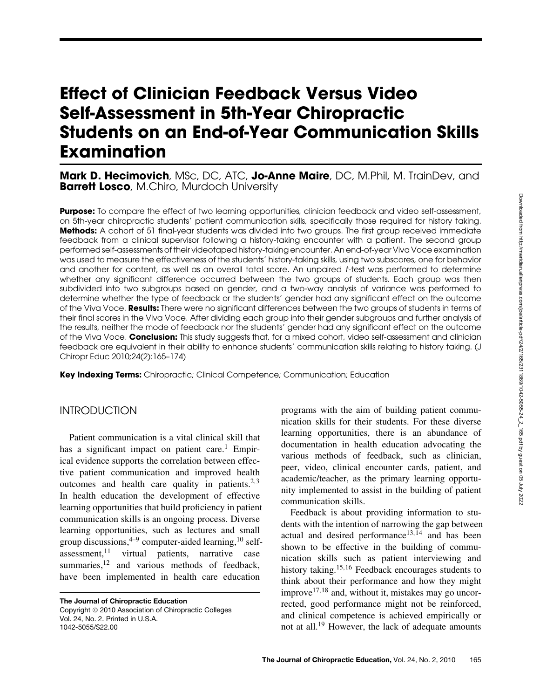# **Effect of Clinician Feedback Versus Video Self-Assessment in 5th-Year Chiropractic Students on an End-of-Year Communication Skills Examination**

#### **Mark D. Hecimovich**, MSc, DC, ATC, **Jo-Anne Maire**, DC, M.Phil, M. TrainDev, and **Barrett Losco**, M.Chiro, Murdoch University

**Purpose:** To compare the effect of two learning opportunities, clinician feedback and video self-assessment, on 5th-year chiropractic students' patient communication skills, specifically those required for history taking. **Methods:** A cohort of 51 final-year students was divided into two groups. The first group received immediate feedback from a clinical supervisor following a history-taking encounter with a patient. The second group performed self-assessments of their videotaped history-taking encounter. An end-of-year Viva Voce examination was used to measure the effectiveness of the students' history-taking skills, using two subscores, one for behavior and another for content, as well as an overall total score. An unpaired t-test was performed to determine whether any significant difference occurred between the two groups of students. Each group was then subdivided into two subgroups based on gender, and a two-way analysis of variance was performed to determine whether the type of feedback or the students' gender had any significant effect on the outcome of the Viva Voce. **Results:** There were no significant differences between the two groups of students in terms of their final scores in the Viva Voce. After dividing each group into their gender subgroups and further analysis of the results, neither the mode of feedback nor the students' gender had any significant effect on the outcome of the Viva Voce. **Conclusion:** This study suggests that, for a mixed cohort, video self-assessment and clinician feedback are equivalent in their ability to enhance students' communication skills relating to history taking. (J Chiropr Educ 2010;24(2):165–174)

**Key Indexing Terms:** Chiropractic; Clinical Competence; Communication; Education

#### INTRODUCTION

Patient communication is a vital clinical skill that has a significant impact on patient care.<sup>1</sup> Empirical evidence supports the correlation between effective patient communication and improved health outcomes and health care quality in patients.<sup>2,3</sup> In health education the development of effective learning opportunities that build proficiency in patient communication skills is an ongoing process. Diverse learning opportunities, such as lectures and small group discussions,  $4-9$  computer-aided learning,  $10$  selfassessment, $11$  virtual patients, narrative case summaries, $12$  and various methods of feedback, have been implemented in health care education

**The Journal of Chiropractic Education** Copyright 2010 Association of Chiropractic Colleges Vol. 24, No. 2. Printed in U.S.A. 1042-5055/\$22.00

programs with the aim of building patient communication skills for their students. For these diverse learning opportunities, there is an abundance of documentation in health education advocating the various methods of feedback, such as clinician, peer, video, clinical encounter cards, patient, and academic/teacher, as the primary learning opportunity implemented to assist in the building of patient communication skills.

Feedback is about providing information to students with the intention of narrowing the gap between actual and desired performance<sup>13,14</sup> and has been shown to be effective in the building of communication skills such as patient interviewing and history taking.<sup>15,16</sup> Feedback encourages students to think about their performance and how they might improve $17,18$  and, without it, mistakes may go uncorrected, good performance might not be reinforced, and clinical competence is achieved empirically or not at all.<sup>19</sup> However, the lack of adequate amounts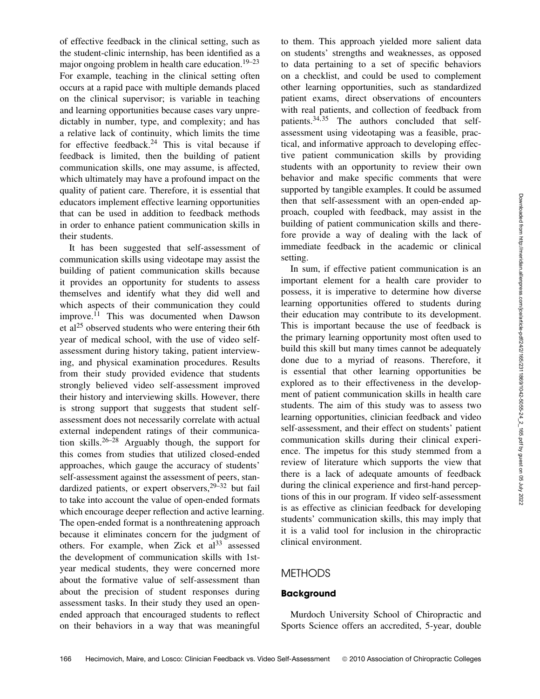of effective feedback in the clinical setting, such as the student-clinic internship, has been identified as a major ongoing problem in health care education.<sup>19–23</sup> For example, teaching in the clinical setting often occurs at a rapid pace with multiple demands placed on the clinical supervisor; is variable in teaching and learning opportunities because cases vary unpredictably in number, type, and complexity; and has a relative lack of continuity, which limits the time for effective feedback.<sup>24</sup> This is vital because if feedback is limited, then the building of patient communication skills, one may assume, is affected, which ultimately may have a profound impact on the quality of patient care. Therefore, it is essential that educators implement effective learning opportunities that can be used in addition to feedback methods in order to enhance patient communication skills in their students.

It has been suggested that self-assessment of communication skills using videotape may assist the building of patient communication skills because it provides an opportunity for students to assess themselves and identify what they did well and which aspects of their communication they could improve.<sup>11</sup> This was documented when Dawson et  $al^{25}$  observed students who were entering their 6th year of medical school, with the use of video selfassessment during history taking, patient interviewing, and physical examination procedures. Results from their study provided evidence that students strongly believed video self-assessment improved their history and interviewing skills. However, there is strong support that suggests that student selfassessment does not necessarily correlate with actual external independent ratings of their communication skills.<sup>26–28</sup> Arguably though, the support for this comes from studies that utilized closed-ended approaches, which gauge the accuracy of students' self-assessment against the assessment of peers, standardized patients, or expert observers,29–32 but fail to take into account the value of open-ended formats which encourage deeper reflection and active learning. The open-ended format is a nonthreatening approach because it eliminates concern for the judgment of others. For example, when Zick et  $a^{33}$  assessed the development of communication skills with 1styear medical students, they were concerned more about the formative value of self-assessment than about the precision of student responses during assessment tasks. In their study they used an openended approach that encouraged students to reflect on their behaviors in a way that was meaningful

to them. This approach yielded more salient data on students' strengths and weaknesses, as opposed to data pertaining to a set of specific behaviors on a checklist, and could be used to complement other learning opportunities, such as standardized patient exams, direct observations of encounters with real patients, and collection of feedback from patients.34,<sup>35</sup> The authors concluded that selfassessment using videotaping was a feasible, practical, and informative approach to developing effective patient communication skills by providing students with an opportunity to review their own behavior and make specific comments that were supported by tangible examples. It could be assumed then that self-assessment with an open-ended approach, coupled with feedback, may assist in the building of patient communication skills and therefore provide a way of dealing with the lack of immediate feedback in the academic or clinical setting.

In sum, if effective patient communication is an important element for a health care provider to possess, it is imperative to determine how diverse learning opportunities offered to students during their education may contribute to its development. This is important because the use of feedback is the primary learning opportunity most often used to build this skill but many times cannot be adequately done due to a myriad of reasons. Therefore, it is essential that other learning opportunities be explored as to their effectiveness in the development of patient communication skills in health care students. The aim of this study was to assess two learning opportunities, clinician feedback and video self-assessment, and their effect on students' patient communication skills during their clinical experience. The impetus for this study stemmed from a review of literature which supports the view that there is a lack of adequate amounts of feedback during the clinical experience and first-hand perceptions of this in our program. If video self-assessment is as effective as clinician feedback for developing students' communication skills, this may imply that it is a valid tool for inclusion in the chiropractic clinical environment.

#### METHODS

#### **Background**

Murdoch University School of Chiropractic and Sports Science offers an accredited, 5-year, double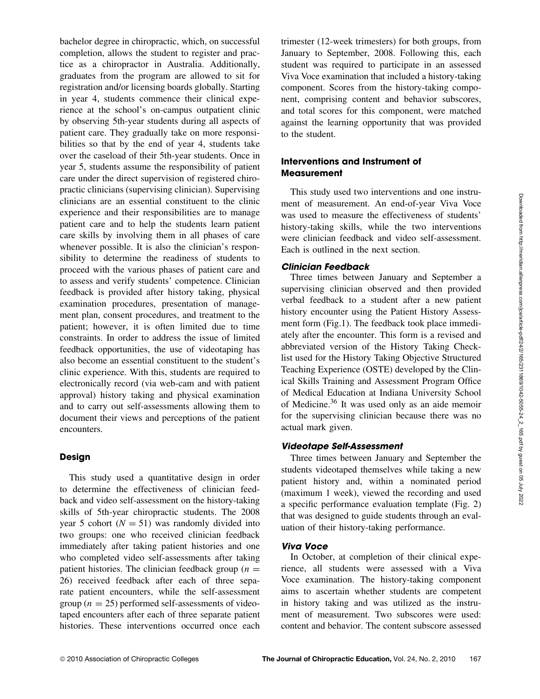bachelor degree in chiropractic, which, on successful completion, allows the student to register and practice as a chiropractor in Australia. Additionally, graduates from the program are allowed to sit for registration and/or licensing boards globally. Starting in year 4, students commence their clinical experience at the school's on-campus outpatient clinic by observing 5th-year students during all aspects of patient care. They gradually take on more responsibilities so that by the end of year 4, students take over the caseload of their 5th-year students. Once in year 5, students assume the responsibility of patient care under the direct supervision of registered chiropractic clinicians (supervising clinician). Supervising clinicians are an essential constituent to the clinic experience and their responsibilities are to manage patient care and to help the students learn patient care skills by involving them in all phases of care whenever possible. It is also the clinician's responsibility to determine the readiness of students to proceed with the various phases of patient care and to assess and verify students' competence. Clinician feedback is provided after history taking, physical examination procedures, presentation of management plan, consent procedures, and treatment to the patient; however, it is often limited due to time constraints. In order to address the issue of limited feedback opportunities, the use of videotaping has also become an essential constituent to the student's clinic experience. With this, students are required to electronically record (via web-cam and with patient approval) history taking and physical examination and to carry out self-assessments allowing them to document their views and perceptions of the patient encounters.

#### **Design**

This study used a quantitative design in order to determine the effectiveness of clinician feedback and video self-assessment on the history-taking skills of 5th-year chiropractic students. The 2008 year 5 cohort ( $N = 51$ ) was randomly divided into two groups: one who received clinician feedback immediately after taking patient histories and one who completed video self-assessments after taking patient histories. The clinician feedback group  $(n =$ 26) received feedback after each of three separate patient encounters, while the self-assessment group ( $n = 25$ ) performed self-assessments of videotaped encounters after each of three separate patient histories. These interventions occurred once each

trimester (12-week trimesters) for both groups, from January to September, 2008. Following this, each student was required to participate in an assessed Viva Voce examination that included a history-taking component. Scores from the history-taking component, comprising content and behavior subscores, and total scores for this component, were matched against the learning opportunity that was provided to the student.

#### **Interventions and Instrument of Measurement**

This study used two interventions and one instrument of measurement. An end-of-year Viva Voce was used to measure the effectiveness of students' history-taking skills, while the two interventions were clinician feedback and video self-assessment. Each is outlined in the next section.

#### **Clinician Feedback**

Three times between January and September a supervising clinician observed and then provided verbal feedback to a student after a new patient history encounter using the Patient History Assessment form (Fig.1). The feedback took place immediately after the encounter. This form is a revised and abbreviated version of the History Taking Checklist used for the History Taking Objective Structured Teaching Experience (OSTE) developed by the Clinical Skills Training and Assessment Program Office of Medical Education at Indiana University School of Medicine.<sup>36</sup> It was used only as an aide memoir for the supervising clinician because there was no actual mark given.

#### **Videotape Self-Assessment**

Three times between January and September the students videotaped themselves while taking a new patient history and, within a nominated period (maximum 1 week), viewed the recording and used a specific performance evaluation template (Fig. 2) that was designed to guide students through an evaluation of their history-taking performance.

#### **Viva Voce**

In October, at completion of their clinical experience, all students were assessed with a Viva Voce examination. The history-taking component aims to ascertain whether students are competent in history taking and was utilized as the instrument of measurement. Two subscores were used: content and behavior. The content subscore assessed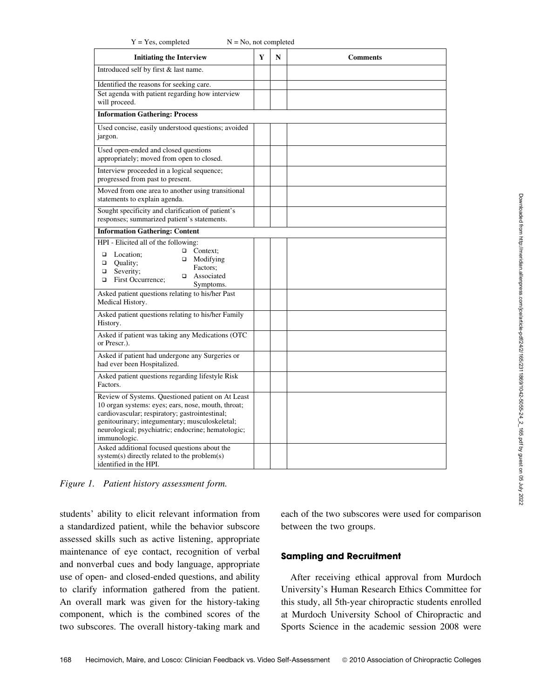| $Y = Yes$ , completed<br>$N = No$ , not completed                                                                                                                                                                                                                                                                                 |   |   |                 |  |  |  |  |
|-----------------------------------------------------------------------------------------------------------------------------------------------------------------------------------------------------------------------------------------------------------------------------------------------------------------------------------|---|---|-----------------|--|--|--|--|
| <b>Initiating the Interview</b>                                                                                                                                                                                                                                                                                                   | Y | N | <b>Comments</b> |  |  |  |  |
| Introduced self by first & last name.                                                                                                                                                                                                                                                                                             |   |   |                 |  |  |  |  |
| Identified the reasons for seeking care.                                                                                                                                                                                                                                                                                          |   |   |                 |  |  |  |  |
| Set agenda with patient regarding how interview<br>will proceed.                                                                                                                                                                                                                                                                  |   |   |                 |  |  |  |  |
| <b>Information Gathering: Process</b>                                                                                                                                                                                                                                                                                             |   |   |                 |  |  |  |  |
| Used concise, easily understood questions; avoided<br>jargon.                                                                                                                                                                                                                                                                     |   |   |                 |  |  |  |  |
| Used open-ended and closed questions<br>appropriately; moved from open to closed.                                                                                                                                                                                                                                                 |   |   |                 |  |  |  |  |
| Interview proceeded in a logical sequence;<br>progressed from past to present.                                                                                                                                                                                                                                                    |   |   |                 |  |  |  |  |
| Moved from one area to another using transitional<br>statements to explain agenda.                                                                                                                                                                                                                                                |   |   |                 |  |  |  |  |
| Sought specificity and clarification of patient's<br>responses; summarized patient's statements.                                                                                                                                                                                                                                  |   |   |                 |  |  |  |  |
| <b>Information Gathering: Content</b>                                                                                                                                                                                                                                                                                             |   |   |                 |  |  |  |  |
| HPI - Elicited all of the following:<br>$\Box$<br>Context;<br>$\Box$<br>Location;<br>$\Box$ Modifying<br>α<br>Quality;<br>Factors:<br>Severity;<br>o<br>Associated<br>$\Box$<br>$\Box$<br>First Occurrence;<br>Symptoms.                                                                                                          |   |   |                 |  |  |  |  |
| Asked patient questions relating to his/her Past<br>Medical History.                                                                                                                                                                                                                                                              |   |   |                 |  |  |  |  |
| Asked patient questions relating to his/her Family<br>History.                                                                                                                                                                                                                                                                    |   |   |                 |  |  |  |  |
| Asked if patient was taking any Medications (OTC)<br>or Prescr.).                                                                                                                                                                                                                                                                 |   |   |                 |  |  |  |  |
| Asked if patient had undergone any Surgeries or<br>had ever been Hospitalized.                                                                                                                                                                                                                                                    |   |   |                 |  |  |  |  |
| Asked patient questions regarding lifestyle Risk<br>Factors.                                                                                                                                                                                                                                                                      |   |   |                 |  |  |  |  |
| Review of Systems. Questioned patient on At Least<br>10 organ systems: eyes; ears, nose, mouth, throat;<br>cardiovascular; respiratory; gastrointestinal;<br>genitourinary; integumentary; musculoskeletal;<br>neurological; psychiatric; endocrine; hematologic;<br>immunologic.<br>Asked additional focused questions about the |   |   |                 |  |  |  |  |
| system(s) directly related to the problem(s)<br>identified in the HPI.                                                                                                                                                                                                                                                            |   |   |                 |  |  |  |  |

*Figure 1. Patient history assessment form.*

students' ability to elicit relevant information from a standardized patient, while the behavior subscore assessed skills such as active listening, appropriate maintenance of eye contact, recognition of verbal and nonverbal cues and body language, appropriate use of open- and closed-ended questions, and ability to clarify information gathered from the patient. An overall mark was given for the history-taking component, which is the combined scores of the two subscores. The overall history-taking mark and

each of the two subscores were used for comparison between the two groups.

#### **Sampling and Recruitment**

After receiving ethical approval from Murdoch University's Human Research Ethics Committee for this study, all 5th-year chiropractic students enrolled at Murdoch University School of Chiropractic and Sports Science in the academic session 2008 were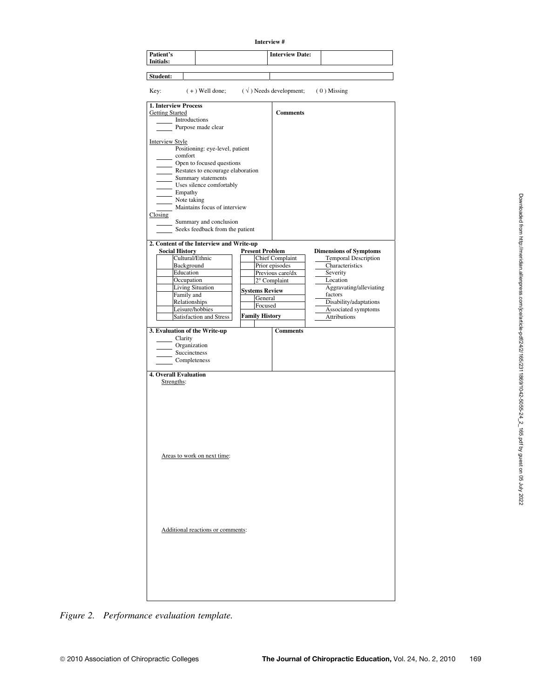|                                   |                                                         | Interview#             |                                  |                                               |
|-----------------------------------|---------------------------------------------------------|------------------------|----------------------------------|-----------------------------------------------|
| Patient's<br>Initials:            |                                                         |                        | <b>Interview Date:</b>           |                                               |
| Student:                          |                                                         |                        |                                  |                                               |
| Key:                              | $(+)$ Well done;                                        |                        | $(\sqrt{})$ Needs development;   | $(0)$ Missing                                 |
| <b>1. Interview Process</b>       |                                                         |                        |                                  |                                               |
| <b>Getting Started</b>            |                                                         |                        | <b>Comments</b>                  |                                               |
|                                   | Introductions<br>Purpose made clear                     |                        |                                  |                                               |
|                                   |                                                         |                        |                                  |                                               |
| <b>Interview Style</b><br>comfort | Positioning: eye-level, patient                         |                        |                                  |                                               |
|                                   | Open to focused questions                               |                        |                                  |                                               |
|                                   | Restates to encourage elaboration<br>Summary statements |                        |                                  |                                               |
|                                   | Uses silence comfortably                                |                        |                                  |                                               |
| $\equiv$ Empathy                  |                                                         |                        |                                  |                                               |
|                                   | Note taking                                             |                        |                                  |                                               |
| Closing                           | Maintains focus of interview                            |                        |                                  |                                               |
|                                   | Summary and conclusion                                  |                        |                                  |                                               |
|                                   | Seeks feedback from the patient                         |                        |                                  |                                               |
|                                   | 2. Content of the Interview and Write-up                |                        |                                  |                                               |
| <b>Social History</b>             |                                                         | <b>Present Problem</b> |                                  | <b>Dimensions of Symptoms</b>                 |
|                                   | Cultural/Ethnic                                         |                        | <b>Chief Complaint</b>           | <b>Temporal Description</b>                   |
|                                   | Background                                              |                        | Prior episodes                   | Characteristics                               |
|                                   | Education<br>Occupation                                 |                        | Previous care/dx<br>2° Complaint | Severity<br>Location                          |
|                                   | <b>Living Situation</b>                                 | <b>Systems Review</b>  |                                  | Aggravating/alleviating                       |
|                                   | Family and                                              | General                |                                  | factors                                       |
|                                   | Relationships<br>Leisure/hobbies                        | Focused                |                                  | Disability/adaptations<br>Associated symptoms |
|                                   | <b>Satisfaction and Stress</b>                          | <b>Family History</b>  |                                  | Attributions                                  |
|                                   |                                                         |                        |                                  |                                               |
|                                   | 3. Evaluation of the Write-up                           |                        | <b>Comments</b>                  |                                               |
| Clarity                           | Organization                                            |                        |                                  |                                               |
|                                   | Succinctness                                            |                        |                                  |                                               |
|                                   | Completeness                                            |                        |                                  |                                               |
| <b>4. Overall Evaluation</b>      |                                                         |                        |                                  |                                               |
| Strengths:                        |                                                         |                        |                                  |                                               |
|                                   |                                                         |                        |                                  |                                               |
|                                   |                                                         |                        |                                  |                                               |
|                                   |                                                         |                        |                                  |                                               |
|                                   |                                                         |                        |                                  |                                               |
|                                   |                                                         |                        |                                  |                                               |
|                                   |                                                         |                        |                                  |                                               |
|                                   |                                                         |                        |                                  |                                               |
|                                   | Areas to work on next time:                             |                        |                                  |                                               |
|                                   |                                                         |                        |                                  |                                               |
|                                   |                                                         |                        |                                  |                                               |
|                                   |                                                         |                        |                                  |                                               |
|                                   |                                                         |                        |                                  |                                               |
|                                   |                                                         |                        |                                  |                                               |
|                                   |                                                         |                        |                                  |                                               |
|                                   |                                                         |                        |                                  |                                               |
|                                   |                                                         |                        |                                  |                                               |
|                                   | Additional reactions or comments:                       |                        |                                  |                                               |
|                                   |                                                         |                        |                                  |                                               |
|                                   |                                                         |                        |                                  |                                               |
|                                   |                                                         |                        |                                  |                                               |
|                                   |                                                         |                        |                                  |                                               |
|                                   |                                                         |                        |                                  |                                               |
|                                   |                                                         |                        |                                  |                                               |

*Figure 2. Performance evaluation template.*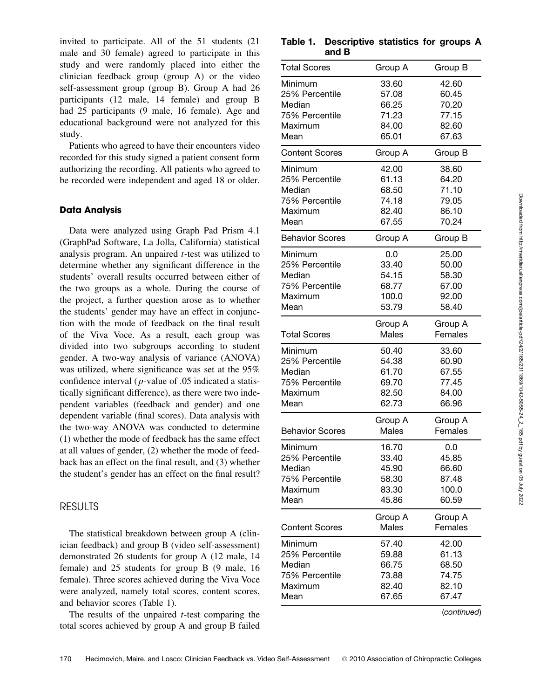invited to participate. All of the 51 students (21 male and 30 female) agreed to participate in this study and were randomly placed into either the clinician feedback group (group A) or the video self-assessment group (group B). Group A had 26 participants (12 male, 14 female) and group B had 25 participants (9 male, 16 female). Age and educational background were not analyzed for this study.

Patients who agreed to have their encounters video recorded for this study signed a patient consent form authorizing the recording. All patients who agreed to be recorded were independent and aged 18 or older.

#### **Data Analysis**

Data were analyzed using Graph Pad Prism 4.1 (GraphPad Software, La Jolla, California) statistical analysis program. An unpaired t-test was utilized to determine whether any significant difference in the students' overall results occurred between either of the two groups as a whole. During the course of the project, a further question arose as to whether the students' gender may have an effect in conjunction with the mode of feedback on the final result of the Viva Voce. As a result, each group was divided into two subgroups according to student gender. A two-way analysis of variance (ANOVA) was utilized, where significance was set at the 95% confidence interval (p-value of .05 indicated a statistically significant difference), as there were two independent variables (feedback and gender) and one dependent variable (final scores). Data analysis with the two-way ANOVA was conducted to determine (1) whether the mode of feedback has the same effect at all values of gender, (2) whether the mode of feedback has an effect on the final result, and (3) whether the student's gender has an effect on the final result?

#### RESULTS

The statistical breakdown between group A (clinician feedback) and group B (video self-assessment) demonstrated 26 students for group A (12 male, 14 female) and 25 students for group B (9 male, 16 female). Three scores achieved during the Viva Voce were analyzed, namely total scores, content scores, and behavior scores (Table 1).

The results of the unpaired  $t$ -test comparing the total scores achieved by group A and group B failed

**Table 1. Descriptive statistics for groups A and B**

| <b>Total Scores</b>                                                      | Group A                                            | Group B                                            |
|--------------------------------------------------------------------------|----------------------------------------------------|----------------------------------------------------|
| Minimum<br>25% Percentile<br>Median<br>75% Percentile<br>Maximum<br>Mean | 33.60<br>57.08<br>66.25<br>71.23<br>84.00<br>65.01 | 42.60<br>60.45<br>70.20<br>77.15<br>82.60<br>67.63 |
| <b>Content Scores</b>                                                    | Group A                                            | Group B                                            |
| Minimum<br>25% Percentile<br>Median<br>75% Percentile<br>Maximum<br>Mean | 42.00<br>61.13<br>68.50<br>74.18<br>82.40<br>67.55 | 38.60<br>64.20<br>71.10<br>79.05<br>86.10<br>70.24 |
| <b>Behavior Scores</b>                                                   | Group A                                            | Group B                                            |
| Minimum<br>25% Percentile<br>Median<br>75% Percentile<br>Maximum<br>Mean | 0.0<br>33.40<br>54.15<br>68.77<br>100.0<br>53.79   | 25.00<br>50.00<br>58.30<br>67.00<br>92.00<br>58.40 |
| <b>Total Scores</b>                                                      | Group A<br>Males                                   | Group A<br>Females                                 |
| Minimum<br>25% Percentile<br>Median<br>75% Percentile<br>Maximum<br>Mean | 50.40<br>54.38<br>61.70<br>69.70<br>82.50<br>62.73 | 33.60<br>60.90<br>67.55<br>77.45<br>84.00<br>66.96 |
| <b>Behavior Scores</b>                                                   | Group A<br>Males                                   | Group A<br>Females                                 |
| Minimum<br>25% Percentile<br>Median<br>75% Percentile<br>Maximum<br>Mean | 16.70<br>33.40<br>45.90<br>58.30<br>83.30<br>45.86 | 0.0<br>45.85<br>66.60<br>87.48<br>100.0<br>60.59   |
| <b>Content Scores</b>                                                    | Group A<br>Males                                   | Group A<br>Females                                 |
| Minimum<br>25% Percentile<br>Median<br>75% Percentile<br>Maximum<br>Mean | 57.40<br>59.88<br>66.75<br>73.88<br>82.40<br>67.65 | 42.00<br>61.13<br>68.50<br>74.75<br>82.10<br>67.47 |
|                                                                          |                                                    |                                                    |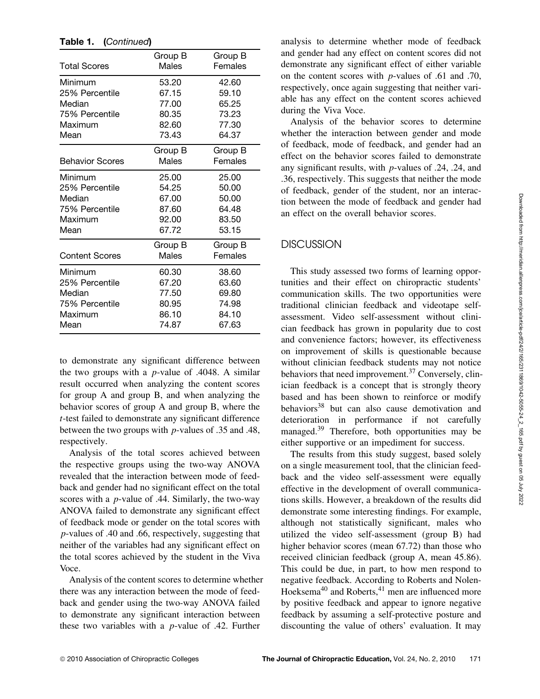| Total Scores           | Group B<br>Males | Group B<br>Females |
|------------------------|------------------|--------------------|
| Minimum                | 53.20            | 42.60              |
| 25% Percentile         | 67.15            | 59.10              |
| Median                 | 77.00            | 65.25              |
| 75% Percentile         | 80.35            | 73.23              |
| Maximum                | 82.60            | 77.30              |
| Mean                   | 73.43            | 64.37              |
|                        | Group B          | Group B            |
| <b>Behavior Scores</b> | Males            | Females            |
| Minimum                | 25.00            | 25.00              |
| 25% Percentile         | 54.25            | 50.00              |
| Median                 | 67.00            | 50.00              |
| 75% Percentile         | 87.60            | 64.48              |
| Maximum                | 92.00            | 83.50              |
| Mean                   | 67.72            | 53.15              |
|                        | Group B          | Group B            |
| Content Scores         | Males            | Females            |
| Minimum                | 60.30            | 38.60              |
| 25% Percentile         | 67.20            | 63.60              |
| Median                 | 77.50            | 69.80              |
| 75% Percentile         | 80.95            | 74.98              |
| Maximum                | 86.10            | 84.10              |
| Mean                   | 74.87            | 67.63              |

**Table 1. (***Continued***)**

to demonstrate any significant difference between the two groups with a  $p$ -value of .4048. A similar result occurred when analyzing the content scores for group A and group B, and when analyzing the behavior scores of group A and group B, where the t-test failed to demonstrate any significant difference between the two groups with p-values of .35 and .48, respectively.

Analysis of the total scores achieved between the respective groups using the two-way ANOVA revealed that the interaction between mode of feedback and gender had no significant effect on the total scores with a  $p$ -value of .44. Similarly, the two-way ANOVA failed to demonstrate any significant effect of feedback mode or gender on the total scores with p-values of .40 and .66, respectively, suggesting that neither of the variables had any significant effect on the total scores achieved by the student in the Viva Voce.

Analysis of the content scores to determine whether there was any interaction between the mode of feedback and gender using the two-way ANOVA failed to demonstrate any significant interaction between these two variables with a  $p$ -value of .42. Further

analysis to determine whether mode of feedback and gender had any effect on content scores did not demonstrate any significant effect of either variable on the content scores with p-values of .61 and .70, respectively, once again suggesting that neither variable has any effect on the content scores achieved during the Viva Voce.

Analysis of the behavior scores to determine whether the interaction between gender and mode of feedback, mode of feedback, and gender had an effect on the behavior scores failed to demonstrate any significant results, with p-values of .24, .24, and .36, respectively. This suggests that neither the mode of feedback, gender of the student, nor an interaction between the mode of feedback and gender had an effect on the overall behavior scores.

### **DISCUSSION**

This study assessed two forms of learning opportunities and their effect on chiropractic students' communication skills. The two opportunities were traditional clinician feedback and videotape selfassessment. Video self-assessment without clinician feedback has grown in popularity due to cost and convenience factors; however, its effectiveness on improvement of skills is questionable because without clinician feedback students may not notice behaviors that need improvement. $37$  Conversely, clinician feedback is a concept that is strongly theory based and has been shown to reinforce or modify behaviors<sup>38</sup> but can also cause demotivation and deterioration in performance if not carefully managed.<sup>39</sup> Therefore, both opportunities may be either supportive or an impediment for success.

The results from this study suggest, based solely on a single measurement tool, that the clinician feedback and the video self-assessment were equally effective in the development of overall communications skills. However, a breakdown of the results did demonstrate some interesting findings. For example, although not statistically significant, males who utilized the video self-assessment (group B) had higher behavior scores (mean 67.72) than those who received clinician feedback (group A, mean 45.86). This could be due, in part, to how men respond to negative feedback. According to Roberts and Nolen-Hoeksema<sup>40</sup> and Roberts,<sup>41</sup> men are influenced more by positive feedback and appear to ignore negative feedback by assuming a self-protective posture and discounting the value of others' evaluation. It may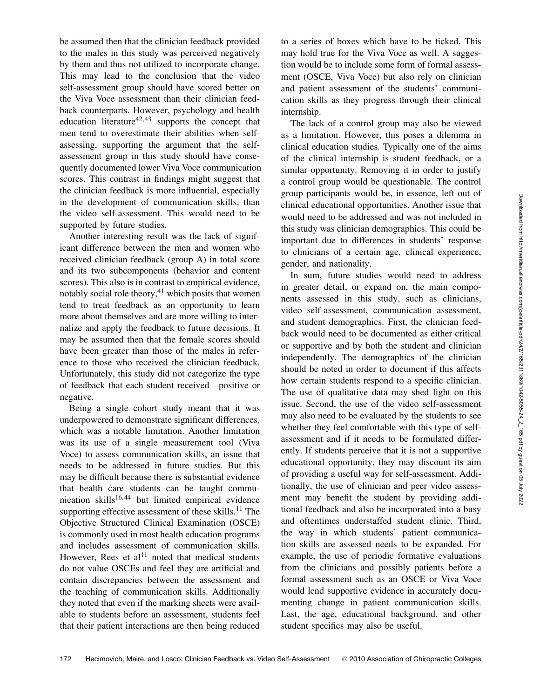be assumed then that the clinician feedback provided to the males in this study was perceived negatively by them and thus not utilized to incorporate change. This may lead to the conclusion that the video self-assessment group should have scored better on the Viva Voce assessment than their clinician feedback counterparts. However, psychology and health education literature<sup>42,43</sup> supports the concept that men tend to overestimate their abilities when selfassessing, supporting the argument that the selfassessment group in this study should have consequently documented lower Viva Voce communication scores. This contrast in findings might suggest that the clinician feedback is more influential, especially in the development of communication skills, than the video self-assessment. This would need to be supported by future studies.

Another interesting result was the lack of significant difference between the men and women who received clinician feedback (group A) in total score and its two subcomponents (behavior and content scores). This also is in contrast to empirical evidence, notably social role theory, $41$  which posits that women tend to treat feedback as an opportunity to learn more about themselves and are more willing to internalize and apply the feedback to future decisions. It may be assumed then that the female scores should have been greater than those of the males in reference to those who received the clinician feedback. Unfortunately, this study did not categorize the type of feedback that each student received––positive or negative.

Being a single cohort study meant that it was underpowered to demonstrate significant differences, which was a notable limitation. Another limitation was its use of a single measurement tool (Viva Voce) to assess communication skills, an issue that needs to be addressed in future studies. But this may be difficult because there is substantial evidence that health care students can be taught communication skills $16,44$  but limited empirical evidence supporting effective assessment of these skills.<sup>11</sup> The Objective Structured Clinical Examination (OSCE) is commonly used in most health education programs and includes assessment of communication skills. However, Rees et al<sup>11</sup> noted that medical students do not value OSCEs and feel they are artificial and contain discrepancies between the assessment and the teaching of communication skills. Additionally they noted that even if the marking sheets were available to students before an assessment, students feel that their patient interactions are then being reduced to a series of boxes which have to be ticked. This may hold true for the Viva Voce as well. A suggestion would be to include some form of formal assessment (OSCE, Viva Voce) but also rely on clinician and patient assessment of the students' communication skills as they progress through their clinical internship.

The lack of a control group may also be viewed as a limitation. However, this poses a dilemma in clinical education studies. Typically one of the aims of the clinical internship is student feedback, or a similar opportunity. Removing it in order to justify a control group would be questionable. The control group participants would be, in essence, left out of clinical educational opportunities. Another issue that would need to be addressed and was not included in this study was clinician demographics. This could be important due to differences in students' response to clinicians of a certain age, clinical experience, gender, and nationality.

In sum, future studies would need to address in greater detail, or expand on, the main components assessed in this study, such as clinicians, video self-assessment, communication assessment, and student demographics. First, the clinician feedback would need to be documented as either critical or supportive and by both the student and clinician independently. The demographics of the clinician should be noted in order to document if this affects how certain students respond to a specific clinician. The use of qualitative data may shed light on this issue. Second, the use of the video self-assessment may also need to be evaluated by the students to see whether they feel comfortable with this type of selfassessment and if it needs to be formulated differently. If students perceive that it is not a supportive educational opportunity, they may discount its aim of providing a useful way for self-assessment. Additionally, the use of clinician and peer video assessment may benefit the student by providing additional feedback and also be incorporated into a busy and oftentimes understaffed student clinic. Third, the way in which students' patient communication skills are assessed needs to be expanded. For example, the use of periodic formative evaluations from the clinicians and possibly patients before a formal assessment such as an OSCE or Viva Voce would lend supportive evidence in accurately documenting change in patient communication skills. Last, the age, educational background, and other student specifics may also be useful.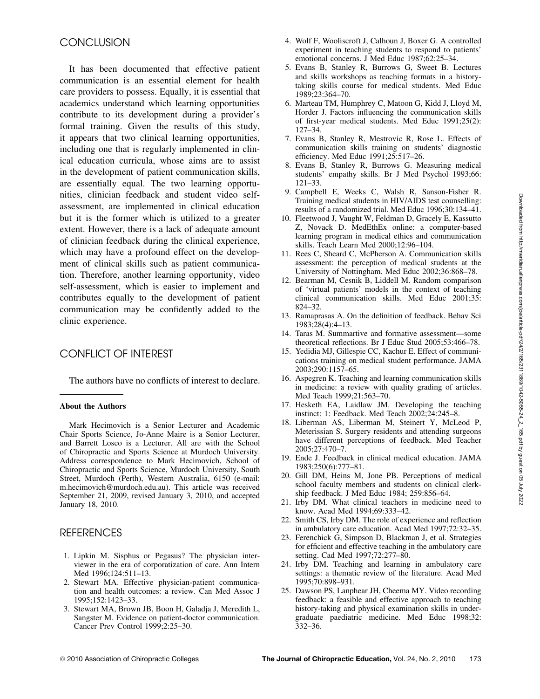# **CONCLUSION**

It has been documented that effective patient communication is an essential element for health care providers to possess. Equally, it is essential that academics understand which learning opportunities contribute to its development during a provider's formal training. Given the results of this study, it appears that two clinical learning opportunities, including one that is regularly implemented in clinical education curricula, whose aims are to assist in the development of patient communication skills, are essentially equal. The two learning opportunities, clinician feedback and student video selfassessment, are implemented in clinical education but it is the former which is utilized to a greater extent. However, there is a lack of adequate amount of clinician feedback during the clinical experience, which may have a profound effect on the development of clinical skills such as patient communication. Therefore, another learning opportunity, video self-assessment, which is easier to implement and contributes equally to the development of patient communication may be confidently added to the clinic experience.

## CONFLICT OF INTEREST

The authors have no conflicts of interest to declare.

#### **About the Authors**

Mark Hecimovich is a Senior Lecturer and Academic Chair Sports Science, Jo-Anne Maire is a Senior Lecturer, and Barrett Losco is a Lecturer. All are with the School of Chiropractic and Sports Science at Murdoch University. Address correspondence to Mark Hecimovich, School of Chiropractic and Sports Science, Murdoch University, South Street, Murdoch (Perth), Western Australia, 6150 (e-mail: m.hecimovich@murdoch.edu.au). This article was received September 21, 2009, revised January 3, 2010, and accepted January 18, 2010.

## REFERENCES

- 1. Lipkin M. Sisphus or Pegasus? The physician interviewer in the era of corporatization of care. Ann Intern Med 1996;124:511–13.
- 2. Stewart MA. Effective physician-patient communication and health outcomes: a review. Can Med Assoc J 1995;152:1423–33.
- 3. Stewart MA, Brown JB, Boon H, Galadja J, Meredith L, Sangster M. Evidence on patient-doctor communication. Cancer Prev Control 1999;2:25–30.
- 4. Wolf F, Wooliscroft J, Calhoun J, Boxer G. A controlled experiment in teaching students to respond to patients' emotional concerns. J Med Educ 1987;62:25–34.
- 5. Evans B, Stanley R, Burrows G, Sweet B. Lectures and skills workshops as teaching formats in a historytaking skills course for medical students. Med Educ 1989;23:364–70.
- 6. Marteau TM, Humphrey C, Matoon G, Kidd J, Lloyd M, Horder J. Factors influencing the communication skills of first-year medical students. Med Educ 1991;25(2): 127–34.
- 7. Evans B, Stanley R, Mestrovic R, Rose L. Effects of communication skills training on students' diagnostic efficiency. Med Educ 1991;25:517–26.
- 8. Evans B, Stanley R, Burrows G. Measuring medical students' empathy skills. Br J Med Psychol 1993;66: 121–33.
- 9. Campbell E, Weeks C, Walsh R, Sanson-Fisher R. Training medical students in HIV/AIDS test counselling: results of a randomized trial. Med Educ 1996;30:134–41.
- 10. Fleetwood J, Vaught W, Feldman D, Gracely E, Kassutto Z, Novack D. MedEthEx online: a computer-based learning program in medical ethics and communication skills. Teach Learn Med 2000;12:96–104.
- 11. Rees C, Sheard C, McPherson A. Communication skills assessment: the perception of medical students at the University of Nottingham. Med Educ 2002;36:868–78.
- 12. Bearman M, Cesnik B, Liddell M. Random comparison of 'virtual patients' models in the context of teaching clinical communication skills. Med Educ 2001;35: 824–32.
- 13. Ramaprasas A. On the definition of feedback. Behav Sci 1983;28(4):4–13.
- 14. Taras M. Summartive and formative assessment––some theoretical reflections. Br J Educ Stud 2005;53:466–78.
- 15. Yedidia MJ, Gillespie CC, Kachur E. Effect of communications training on medical student performance. JAMA 2003;290:1157–65.
- 16. Aspegren K. Teaching and learning communication skills in medicine: a review with quality grading of articles. Med Teach 1999;21:563–70.
- 17. Hesketh EA, Laidlaw JM. Developing the teaching instinct: 1: Feedback. Med Teach 2002;24:245–8.
- 18. Liberman AS, Liberman M, Steinert Y, McLeod P, Meterissian S. Surgery residents and attending surgeons have different perceptions of feedback. Med Teacher 2005;27:470–7.
- 19. Ende J. Feedback in clinical medical education. JAMA 1983;250(6):777–81.
- 20. Gill DM, Heins M, Jone PB. Perceptions of medical school faculty members and students on clinical clerkship feedback. J Med Educ 1984; 259:856–64.
- 21. Irby DM. What clinical teachers in medicine need to know. Acad Med 1994;69:333–42.
- 22. Smith CS, Irby DM. The role of experience and reflection in ambulatory care education. Acad Med 1997;72:32–35.
- 23. Ferenchick G, Simpson D, Blackman J, et al. Strategies for efficient and effective teaching in the ambulatory care setting. Cad Med 1997;72:277–80.
- 24. Irby DM. Teaching and learning in ambulatory care settings: a thematic review of the literature. Acad Med 1995;70:898–931.
- 25. Dawson PS, Lanphear JH, Cheema MY. Video recording feedback: a feasible and effective approach to teaching history-taking and physical examination skills in undergraduate paediatric medicine. Med Educ 1998;32: 332–36.